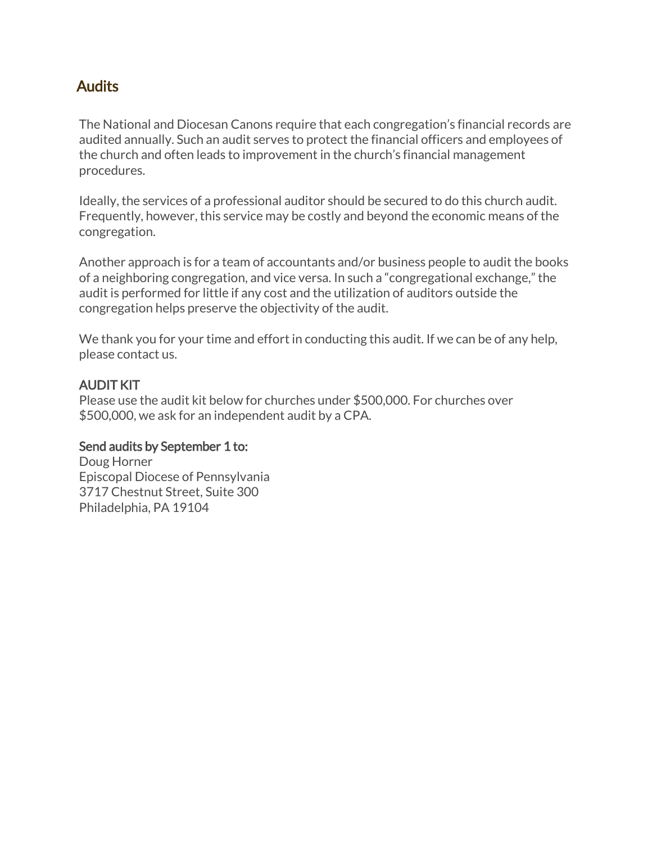## **Audits**

The National and Diocesan Canons require that each congregation's financial records are audited annually. Such an audit serves to protect the financial officers and employees of the church and often leads to improvement in the church's financial management procedures.

Ideally, the services of a professional auditor should be secured to do this church audit. Frequently, however, this service may be costly and beyond the economic means of the congregation.

Another approach is for a team of accountants and/or business people to audit the books of a neighboring congregation, and vice versa. In such a "congregational exchange," the audit is performed for little if any cost and the utilization of auditors outside the congregation helps preserve the objectivity of the audit.

We thank you for your time and effort in conducting this audit. If we can be of any help, please contact us.

### AUDIT KIT

Please use the audit kit below for churches under \$500,000. For churches over \$500,000, we ask for an independent audit by a CPA.

### Send audits by September 1 to:

Doug Horner Episcopal Diocese of Pennsylvania 3717 Chestnut Street, Suite 300 Philadelphia, PA 19104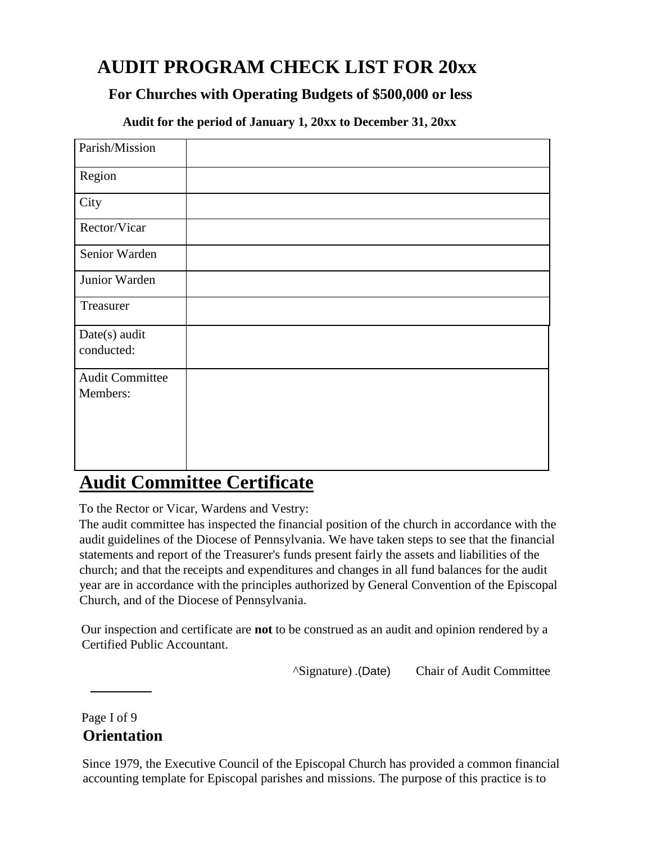# **AUDIT PROGRAM CHECK LIST FOR 20xx**

### **For Churches with Operating Budgets of \$500,000 or less**

**Audit for the period of January 1, 20xx to December 31, 20xx**

| Parish/Mission                     |  |
|------------------------------------|--|
| Region                             |  |
| City                               |  |
| Rector/Vicar                       |  |
| Senior Warden                      |  |
| Junior Warden                      |  |
| Treasurer                          |  |
| Date(s) audit<br>conducted:        |  |
| <b>Audit Committee</b><br>Members: |  |

## **Audit Committee Certificate**

To the Rector or Vicar, Wardens and Vestry:

The audit committee has inspected the financial position of the church in accordance with the audit guidelines of the Diocese of Pennsylvania. We have taken steps to see that the financial statements and report of the Treasurer's funds present fairly the assets and liabilities of the church; and that the receipts and expenditures and changes in all fund balances for the audit year are in accordance with the principles authorized by General Convention of the Episcopal Church, and of the Diocese of Pennsylvania.

Our inspection and certificate are **not** to be construed as an audit and opinion rendered by a Certified Public Accountant.

^Signature) .(Date) Chair of Audit Committee

Page I of 9 **Orientation**

Since 1979, the Executive Council of the Episcopal Church has provided a common financial accounting template for Episcopal parishes and missions. The purpose of this practice is to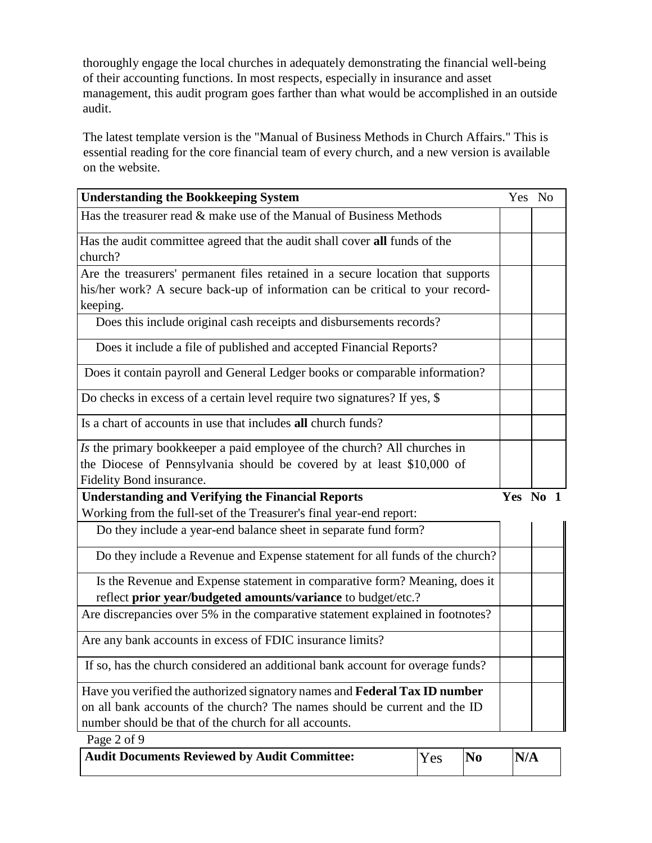thoroughly engage the local churches in adequately demonstrating the financial well-being of their accounting functions. In most respects, especially in insurance and asset management, this audit program goes farther than what would be accomplished in an outside audit.

The latest template version is the "Manual of Business Methods in Church Affairs." This is essential reading for the core financial team of every church, and a new version is available on the website.

| <b>Understanding the Bookkeeping System</b>                                                                                                    | Yes No |  |
|------------------------------------------------------------------------------------------------------------------------------------------------|--------|--|
| Has the treasurer read & make use of the Manual of Business Methods                                                                            |        |  |
| Has the audit committee agreed that the audit shall cover all funds of the                                                                     |        |  |
| church?                                                                                                                                        |        |  |
| Are the treasurers' permanent files retained in a secure location that supports                                                                |        |  |
| his/her work? A secure back-up of information can be critical to your record-                                                                  |        |  |
| keeping.                                                                                                                                       |        |  |
| Does this include original cash receipts and disbursements records?                                                                            |        |  |
| Does it include a file of published and accepted Financial Reports?                                                                            |        |  |
| Does it contain payroll and General Ledger books or comparable information?                                                                    |        |  |
| Do checks in excess of a certain level require two signatures? If yes, \$                                                                      |        |  |
| Is a chart of accounts in use that includes all church funds?                                                                                  |        |  |
| Is the primary bookkeeper a paid employee of the church? All churches in                                                                       |        |  |
| the Diocese of Pennsylvania should be covered by at least \$10,000 of                                                                          |        |  |
| Fidelity Bond insurance.                                                                                                                       |        |  |
|                                                                                                                                                |        |  |
| <b>Understanding and Verifying the Financial Reports</b>                                                                                       | Yes No |  |
| Working from the full-set of the Treasurer's final year-end report:                                                                            |        |  |
| Do they include a year-end balance sheet in separate fund form?                                                                                |        |  |
| Do they include a Revenue and Expense statement for all funds of the church?                                                                   |        |  |
| Is the Revenue and Expense statement in comparative form? Meaning, does it                                                                     |        |  |
|                                                                                                                                                |        |  |
| reflect prior year/budgeted amounts/variance to budget/etc.?<br>Are discrepancies over 5% in the comparative statement explained in footnotes? |        |  |
| Are any bank accounts in excess of FDIC insurance limits?                                                                                      |        |  |
| If so, has the church considered an additional bank account for overage funds?                                                                 |        |  |
| Have you verified the authorized signatory names and Federal Tax ID number                                                                     |        |  |
| on all bank accounts of the church? The names should be current and the ID                                                                     |        |  |
| number should be that of the church for all accounts.                                                                                          |        |  |

| Audit Documents Reviewed by Audit Committee: | Yes | $\mathbf{N_0}$ | N/A |
|----------------------------------------------|-----|----------------|-----|
|                                              |     |                |     |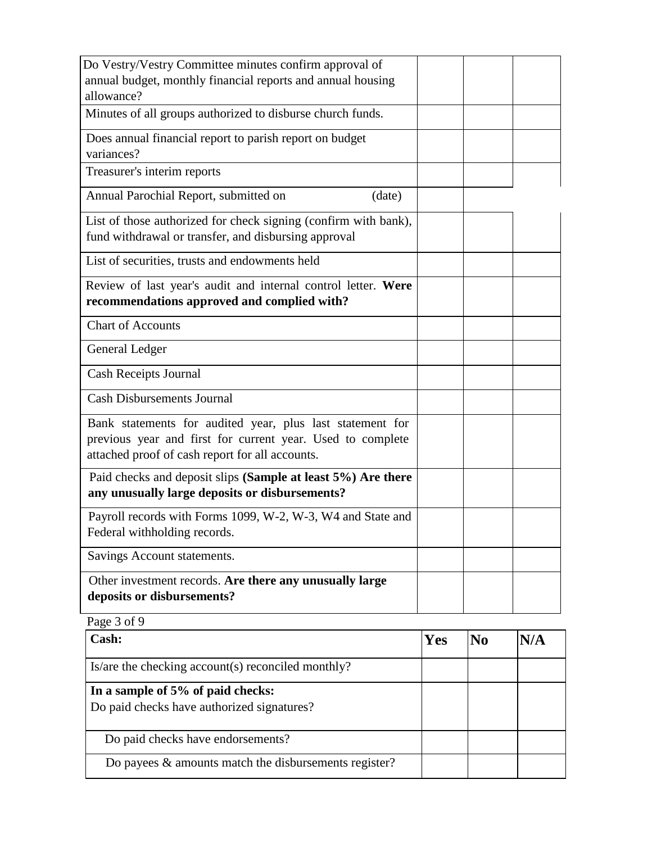| Do Vestry/Vestry Committee minutes confirm approval of<br>annual budget, monthly financial reports and annual housing                                                      |  |
|----------------------------------------------------------------------------------------------------------------------------------------------------------------------------|--|
| allowance?                                                                                                                                                                 |  |
| Minutes of all groups authorized to disburse church funds.                                                                                                                 |  |
| Does annual financial report to parish report on budget<br>variances?                                                                                                      |  |
| Treasurer's interim reports                                                                                                                                                |  |
| Annual Parochial Report, submitted on<br>(date)                                                                                                                            |  |
| List of those authorized for check signing (confirm with bank),<br>fund withdrawal or transfer, and disbursing approval                                                    |  |
| List of securities, trusts and endowments held                                                                                                                             |  |
| Review of last year's audit and internal control letter. Were<br>recommendations approved and complied with?                                                               |  |
| <b>Chart of Accounts</b>                                                                                                                                                   |  |
| General Ledger                                                                                                                                                             |  |
| Cash Receipts Journal                                                                                                                                                      |  |
| <b>Cash Disbursements Journal</b>                                                                                                                                          |  |
| Bank statements for audited year, plus last statement for<br>previous year and first for current year. Used to complete<br>attached proof of cash report for all accounts. |  |
| Paid checks and deposit slips (Sample at least 5%) Are there<br>any unusually large deposits or disbursements?                                                             |  |
| Payroll records with Forms 1099, W-2, W-3, W4 and State and                                                                                                                |  |
| Federal withholding records.                                                                                                                                               |  |
| Savings Account statements.                                                                                                                                                |  |
| Other investment records. Are there any unusually large<br>deposits or disbursements?                                                                                      |  |

Page 3 of 9

| Cash:                                                                           | Yes | N/A |
|---------------------------------------------------------------------------------|-----|-----|
| Is/are the checking account(s) reconciled monthly?                              |     |     |
| In a sample of 5% of paid checks:<br>Do paid checks have authorized signatures? |     |     |
| Do paid checks have endorsements?                                               |     |     |
| Do payees $\&$ amounts match the disbursements register?                        |     |     |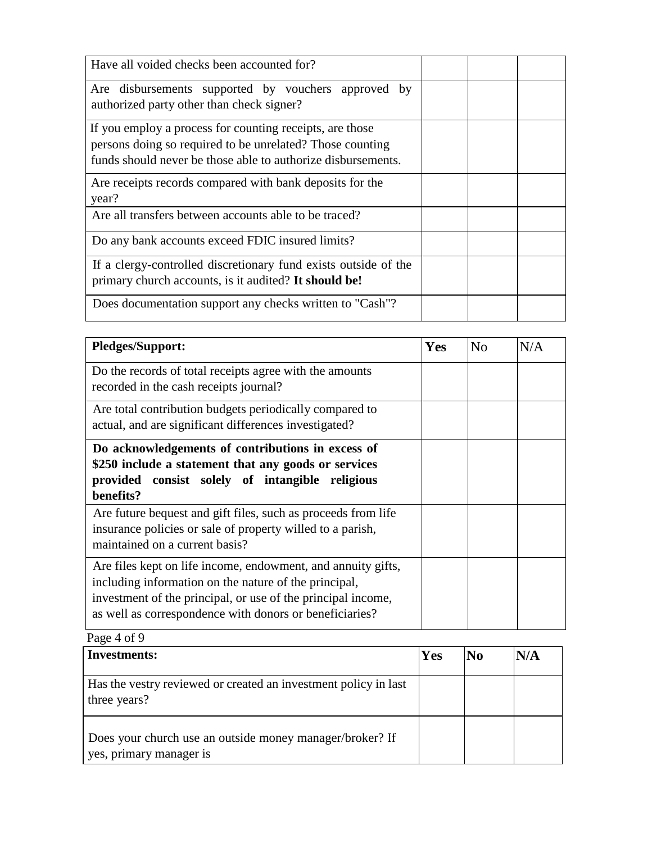| Have all voided checks been accounted for?                                                                                                                                            |  |  |
|---------------------------------------------------------------------------------------------------------------------------------------------------------------------------------------|--|--|
| Are disbursements supported by vouchers approved by<br>authorized party other than check signer?                                                                                      |  |  |
| If you employ a process for counting receipts, are those<br>persons doing so required to be unrelated? Those counting<br>funds should never be those able to authorize disbursements. |  |  |
| Are receipts records compared with bank deposits for the<br>year?                                                                                                                     |  |  |
| Are all transfers between accounts able to be traced?                                                                                                                                 |  |  |
| Do any bank accounts exceed FDIC insured limits?                                                                                                                                      |  |  |
| If a clergy-controlled discretionary fund exists outside of the<br>primary church accounts, is it audited? It should be!                                                              |  |  |
| Does documentation support any checks written to "Cash"?                                                                                                                              |  |  |

| <b>Pledges/Support:</b>                                                                                                                                                                                                                          | Yes | No | N/A |
|--------------------------------------------------------------------------------------------------------------------------------------------------------------------------------------------------------------------------------------------------|-----|----|-----|
| Do the records of total receipts agree with the amounts<br>recorded in the cash receipts journal?                                                                                                                                                |     |    |     |
| Are total contribution budgets periodically compared to<br>actual, and are significant differences investigated?                                                                                                                                 |     |    |     |
| Do acknowledgements of contributions in excess of<br>\$250 include a statement that any goods or services<br>provided consist solely of intangible religious<br>benefits?                                                                        |     |    |     |
| Are future bequest and gift files, such as proceeds from life<br>insurance policies or sale of property willed to a parish,<br>maintained on a current basis?                                                                                    |     |    |     |
| Are files kept on life income, endowment, and annuity gifts,<br>including information on the nature of the principal,<br>investment of the principal, or use of the principal income,<br>as well as correspondence with donors or beneficiaries? |     |    |     |

Page 4 of 9

| <b>Investments:</b>                                                                 | Yes | N <sub>0</sub> | N/A |
|-------------------------------------------------------------------------------------|-----|----------------|-----|
| Has the vestry reviewed or created an investment policy in last<br>three years?     |     |                |     |
| Does your church use an outside money manager/broker? If<br>yes, primary manager is |     |                |     |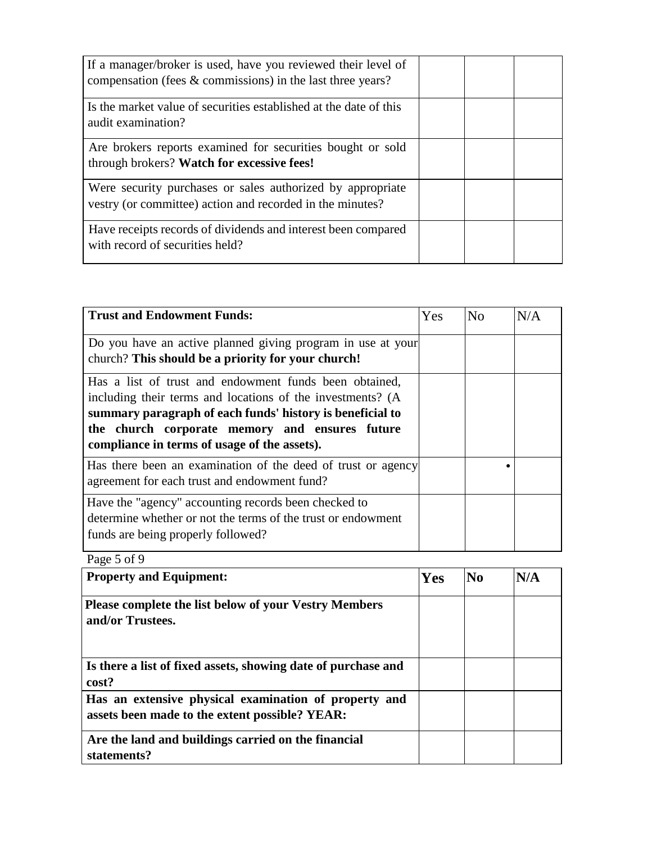| If a manager/broker is used, have you reviewed their level of<br>compensation (fees $&$ commissions) in the last three years? |  |  |
|-------------------------------------------------------------------------------------------------------------------------------|--|--|
| Is the market value of securities established at the date of this<br>audit examination?                                       |  |  |
| Are brokers reports examined for securities bought or sold<br>through brokers? Watch for excessive fees!                      |  |  |
| Were security purchases or sales authorized by appropriate<br>vestry (or committee) action and recorded in the minutes?       |  |  |
| Have receipts records of dividends and interest been compared<br>with record of securities held?                              |  |  |

| <b>Trust and Endowment Funds:</b>                                                                                                                                                                                                                                                   | Yes | No | N/A |
|-------------------------------------------------------------------------------------------------------------------------------------------------------------------------------------------------------------------------------------------------------------------------------------|-----|----|-----|
| Do you have an active planned giving program in use at your<br>church? This should be a priority for your church!                                                                                                                                                                   |     |    |     |
| Has a list of trust and endowment funds been obtained,<br>including their terms and locations of the investments? (A<br>summary paragraph of each funds' history is beneficial to<br>the church corporate memory and ensures future<br>compliance in terms of usage of the assets). |     |    |     |
| Has there been an examination of the deed of trust or agency<br>agreement for each trust and endowment fund?                                                                                                                                                                        |     |    |     |
| Have the "agency" accounting records been checked to<br>determine whether or not the terms of the trust or endowment<br>funds are being properly followed?                                                                                                                          |     |    |     |

Page 5 of 9

| <b>Property and Equipment:</b>                                                                          | Yes | $\bf No$ | N/A |
|---------------------------------------------------------------------------------------------------------|-----|----------|-----|
| <b>Please complete the list below of your Vestry Members</b><br>and/or Trustees.                        |     |          |     |
| Is there a list of fixed assets, showing date of purchase and<br>cost?                                  |     |          |     |
| Has an extensive physical examination of property and<br>assets been made to the extent possible? YEAR: |     |          |     |
| Are the land and buildings carried on the financial<br>statements?                                      |     |          |     |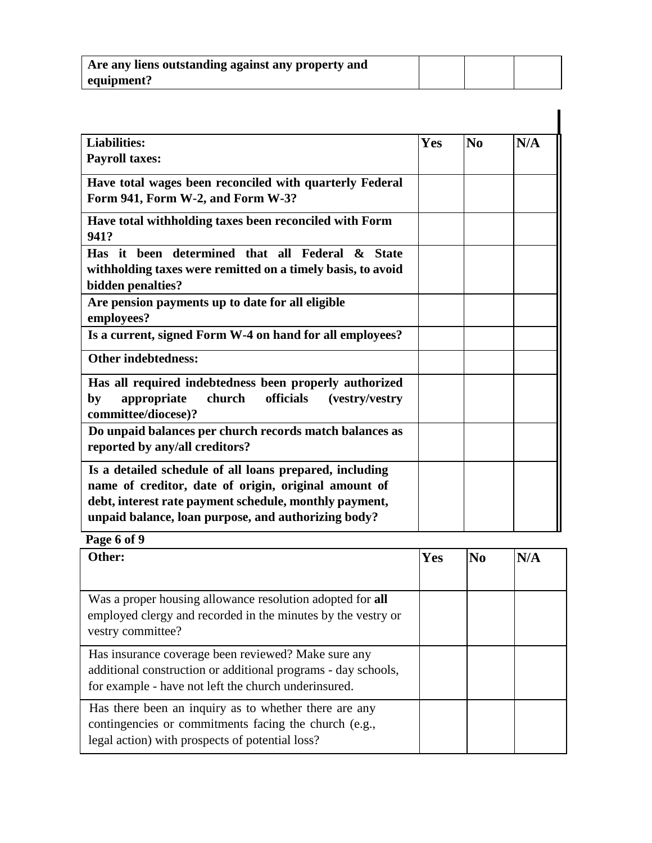| Are any liens outstanding against any property and |  |  |
|----------------------------------------------------|--|--|
| equipment?                                         |  |  |

| <b>Liabilities:</b>                                                                                                                                                                                                              | Yes | N <sub>0</sub> | N/A |
|----------------------------------------------------------------------------------------------------------------------------------------------------------------------------------------------------------------------------------|-----|----------------|-----|
| <b>Payroll taxes:</b>                                                                                                                                                                                                            |     |                |     |
| Have total wages been reconciled with quarterly Federal<br>Form 941, Form W-2, and Form W-3?                                                                                                                                     |     |                |     |
| Have total withholding taxes been reconciled with Form<br>941?                                                                                                                                                                   |     |                |     |
| Has it been determined that all Federal & State<br>withholding taxes were remitted on a timely basis, to avoid<br>bidden penalties?                                                                                              |     |                |     |
| Are pension payments up to date for all eligible<br>employees?                                                                                                                                                                   |     |                |     |
| Is a current, signed Form W-4 on hand for all employees?                                                                                                                                                                         |     |                |     |
| <b>Other indebtedness:</b>                                                                                                                                                                                                       |     |                |     |
| Has all required indebtedness been properly authorized<br>officials<br>appropriate<br>church<br>by<br>(vestry/vestry)<br>committee/diocese)?                                                                                     |     |                |     |
| Do unpaid balances per church records match balances as<br>reported by any/all creditors?                                                                                                                                        |     |                |     |
| Is a detailed schedule of all loans prepared, including<br>name of creditor, date of origin, original amount of<br>debt, interest rate payment schedule, monthly payment,<br>unpaid balance, loan purpose, and authorizing body? |     |                |     |

**Page 6 of 9 Other: Yes No N/A** Was a proper housing allowance resolution adopted for **all**  employed clergy and recorded in the minutes by the vestry or vestry committee? Has insurance coverage been reviewed? Make sure any additional construction or additional programs - day schools, for example - have not left the church underinsured. Has there been an inquiry as to whether there are any contingencies or commitments facing the church (e.g., legal action) with prospects of potential loss?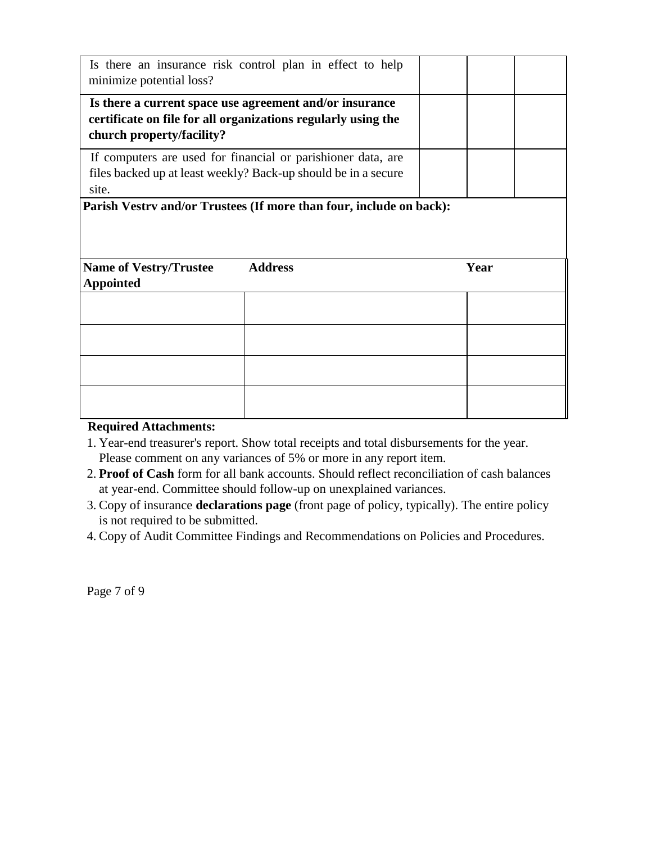| minimize potential loss?                          | Is there an insurance risk control plan in effect to help                                                                      |      |
|---------------------------------------------------|--------------------------------------------------------------------------------------------------------------------------------|------|
| church property/facility?                         | Is there a current space use agreement and/or insurance<br>certificate on file for all organizations regularly using the       |      |
| site.                                             | If computers are used for financial or parishioner data, are<br>files backed up at least weekly? Back-up should be in a secure |      |
|                                                   | Parish Vestrv and/or Trustees (If more than four, include on back):                                                            |      |
| <b>Name of Vestry/Trustee</b><br><b>Appointed</b> | <b>Address</b>                                                                                                                 | Year |
|                                                   |                                                                                                                                |      |
|                                                   |                                                                                                                                |      |
|                                                   |                                                                                                                                |      |
|                                                   |                                                                                                                                |      |

#### **Required Attachments:**

- 1. Year-end treasurer's report. Show total receipts and total disbursements for the year. Please comment on any variances of 5% or more in any report item.
- 2. **Proof of Cash** form for all bank accounts. Should reflect reconciliation of cash balances at year-end. Committee should follow-up on unexplained variances.
- 3. Copy of insurance **declarations page** (front page of policy, typically). The entire policy is not required to be submitted.
- 4. Copy of Audit Committee Findings and Recommendations on Policies and Procedures.

Page 7 of 9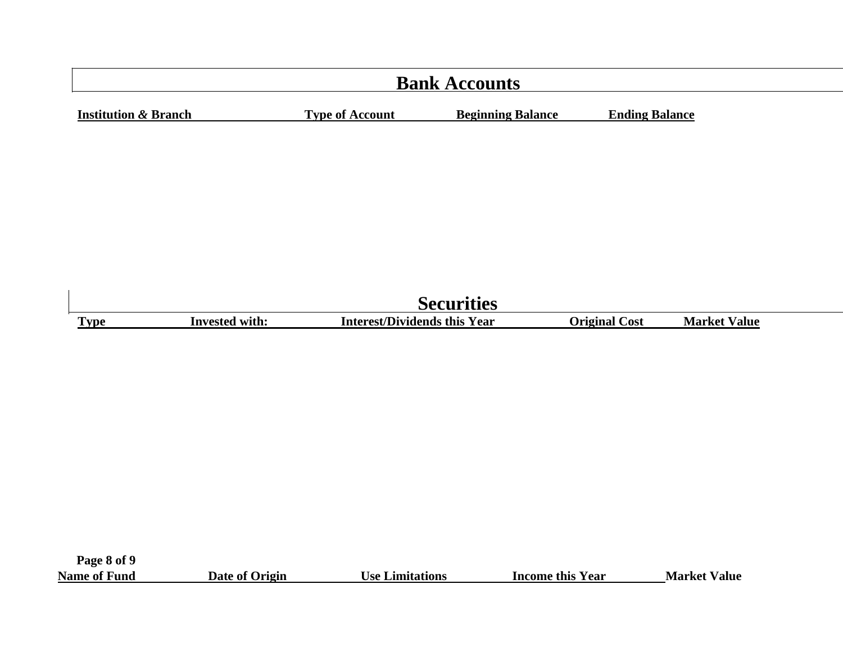|                                      | <b>Bank Accounts</b>                |                          |                       |                     |  |  |  |
|--------------------------------------|-------------------------------------|--------------------------|-----------------------|---------------------|--|--|--|
| <b>Institution &amp; Branch</b>      | <b>Type of Account</b>              | <b>Beginning Balance</b> | <b>Ending Balance</b> |                     |  |  |  |
|                                      |                                     |                          |                       |                     |  |  |  |
|                                      |                                     |                          |                       |                     |  |  |  |
|                                      |                                     |                          |                       |                     |  |  |  |
|                                      |                                     |                          |                       |                     |  |  |  |
|                                      |                                     |                          |                       |                     |  |  |  |
|                                      |                                     |                          |                       |                     |  |  |  |
|                                      |                                     | <b>Securities</b>        |                       |                     |  |  |  |
| <b>Invested with:</b><br><b>Type</b> | <b>Interest/Dividends this Year</b> |                          | <b>Original Cost</b>  | <b>Market Value</b> |  |  |  |

**Page 8 of 9**

 $\begin{array}{c} \hline \end{array}$ 

| <b>Name of Fund</b> | Date of Origin | <b>Use Limitations</b> | Income this Year | <b>Market Value</b> |
|---------------------|----------------|------------------------|------------------|---------------------|
|---------------------|----------------|------------------------|------------------|---------------------|